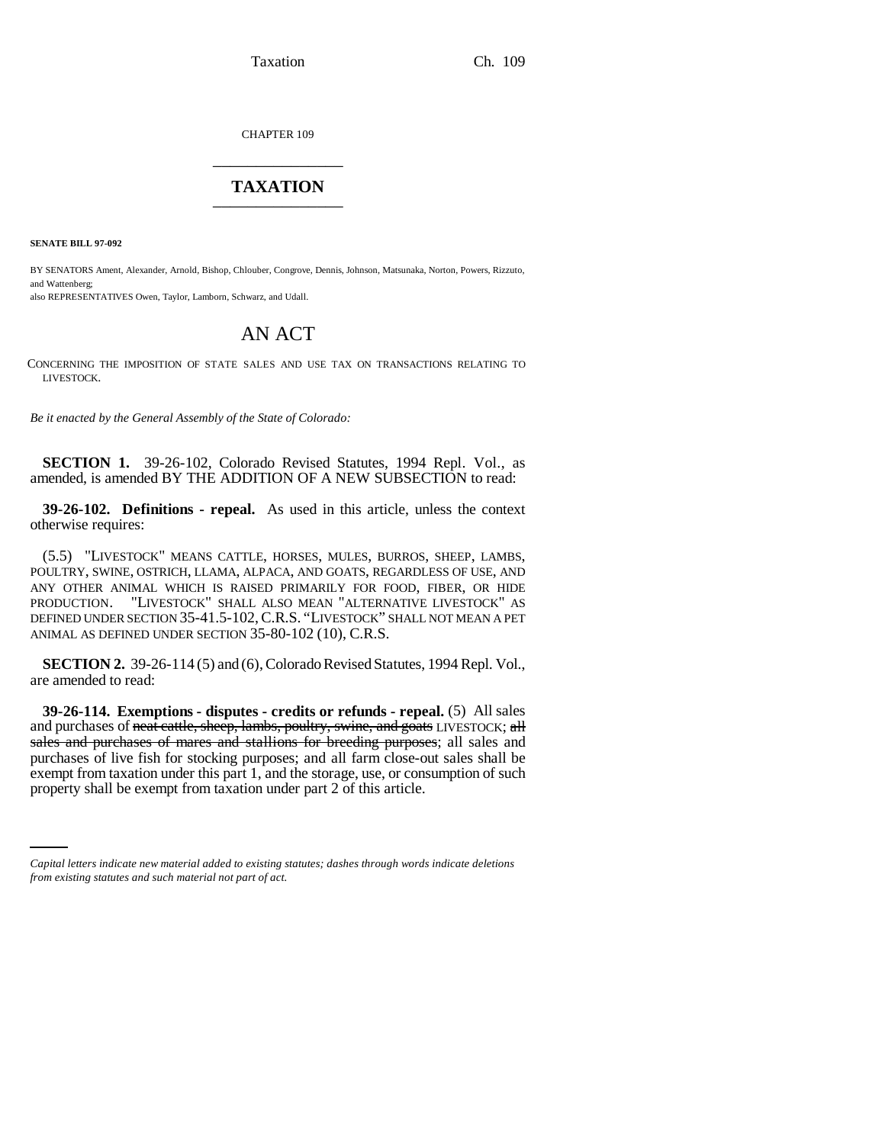Taxation Ch. 109

CHAPTER 109 \_\_\_\_\_\_\_\_\_\_\_\_\_\_\_

## **TAXATION** \_\_\_\_\_\_\_\_\_\_\_\_\_\_\_

**SENATE BILL 97-092**

BY SENATORS Ament, Alexander, Arnold, Bishop, Chlouber, Congrove, Dennis, Johnson, Matsunaka, Norton, Powers, Rizzuto, and Wattenberg;

also REPRESENTATIVES Owen, Taylor, Lamborn, Schwarz, and Udall.

## AN ACT

CONCERNING THE IMPOSITION OF STATE SALES AND USE TAX ON TRANSACTIONS RELATING TO LIVESTOCK.

*Be it enacted by the General Assembly of the State of Colorado:*

**SECTION 1.** 39-26-102, Colorado Revised Statutes, 1994 Repl. Vol., as amended, is amended BY THE ADDITION OF A NEW SUBSECTION to read:

**39-26-102. Definitions - repeal.** As used in this article, unless the context otherwise requires:

(5.5) "LIVESTOCK" MEANS CATTLE, HORSES, MULES, BURROS, SHEEP, LAMBS, POULTRY, SWINE, OSTRICH, LLAMA, ALPACA, AND GOATS, REGARDLESS OF USE, AND ANY OTHER ANIMAL WHICH IS RAISED PRIMARILY FOR FOOD, FIBER, OR HIDE PRODUCTION. "LIVESTOCK" SHALL ALSO MEAN "ALTERNATIVE LIVESTOCK" AS DEFINED UNDER SECTION 35-41.5-102,C.R.S. "LIVESTOCK" SHALL NOT MEAN A PET ANIMAL AS DEFINED UNDER SECTION 35-80-102 (10), C.R.S.

**SECTION 2.** 39-26-114 (5) and (6), Colorado Revised Statutes, 1994 Repl. Vol., are amended to read:

exempt from taxation under this part 1, and the storage, use, or consumption of such **39-26-114. Exemptions - disputes - credits or refunds - repeal.** (5) All sales and purchases of neat cattle, sheep, lambs, poultry, swine, and goats LIVESTOCK; all sales and purchases of mares and stallions for breeding purposes; all sales and purchases of live fish for stocking purposes; and all farm close-out sales shall be property shall be exempt from taxation under part 2 of this article.

*Capital letters indicate new material added to existing statutes; dashes through words indicate deletions from existing statutes and such material not part of act.*